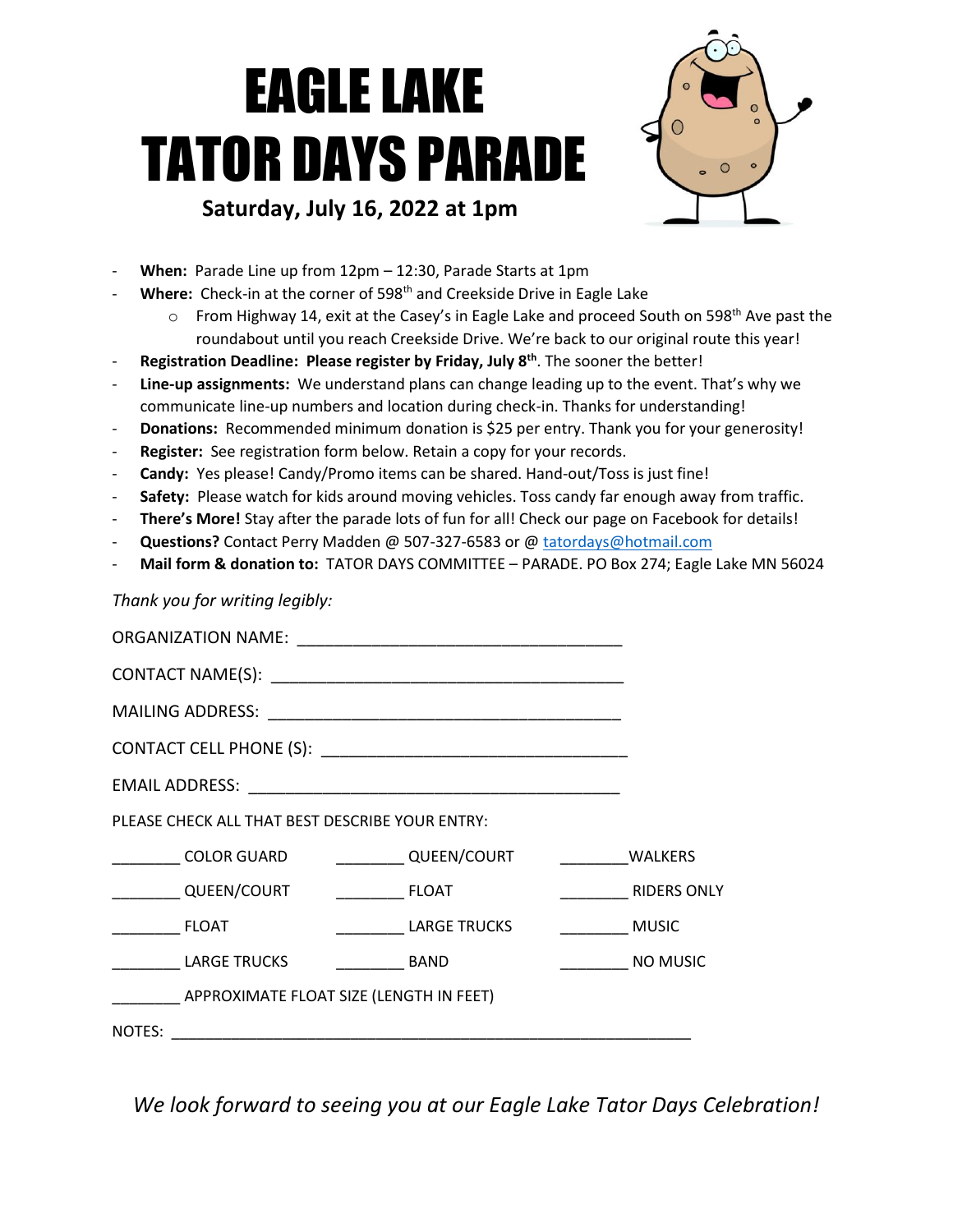## EAGLE LAKE TATOR DAYS PARADE **Saturday, July 16, 2022 at 1pm**



- When: Parade Line up from 12pm 12:30, Parade Starts at 1pm
- Where: Check-in at the corner of 598<sup>th</sup> and Creekside Drive in Eagle Lake
	- o From Highway 14, exit at the Casey's in Eagle Lake and proceed South on 598<sup>th</sup> Ave past the roundabout until you reach Creekside Drive. We're back to our original route this year!
- Registration Deadline: Please register by Friday, July 8<sup>th</sup>. The sooner the better!
- Line-up assignments: We understand plans can change leading up to the event. That's why we communicate line-up numbers and location during check-in. Thanks for understanding!
- **Donations:** Recommended minimum donation is \$25 per entry. Thank you for your generosity!
- **Register:** See registration form below. Retain a copy for your records.
- Candy: Yes please! Candy/Promo items can be shared. Hand-out/Toss is just fine!
- Safety: Please watch for kids around moving vehicles. Toss candy far enough away from traffic.
- There's More! Stay after the parade lots of fun for all! Check our page on Facebook for details!
- Questions? Contact Perry Madden @ 507-327-6583 or @ [tatordays@hotmail.com](mailto:tatordays@hotmail.com)
- **Mail form & donation to:** TATOR DAYS COMMITTEE PARADE. PO Box 274; Eagle Lake MN 56024

*Thank you for writing legibly:* 

| PLEASE CHECK ALL THAT BEST DESCRIBE YOUR ENTRY: |                                       |                         |
|-------------------------------------------------|---------------------------------------|-------------------------|
|                                                 | COLOR GUARD    QUEEN/COURT    VALKERS |                         |
| QUEEN/COURT FLOAT                               |                                       | <b>RIDERS ONLY</b>      |
| <b>ELOAT</b>                                    | <b>LARGE TRUCKS</b>                   | <b>Example 19 MUSIC</b> |
| <b>LARGE TRUCKS</b>                             | <b>BAND</b>                           | NO MUSIC                |
| APPROXIMATE FLOAT SIZE (LENGTH IN FEET)         |                                       |                         |
| NOTES:                                          |                                       |                         |

*We look forward to seeing you at our Eagle Lake Tator Days Celebration!*